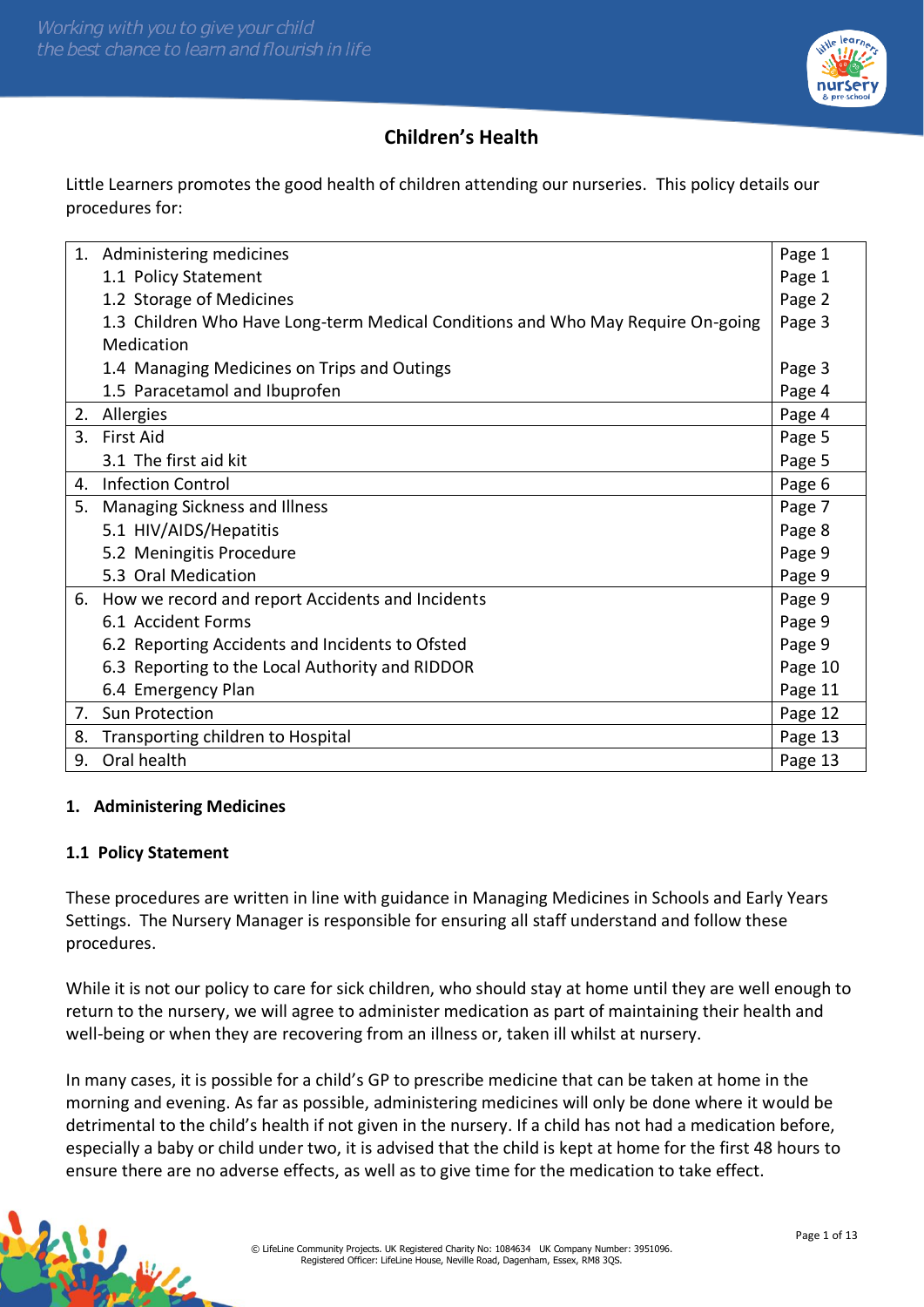

# **Children's Health**

Little Learners promotes the good health of children attending our nurseries. This policy details our procedures for:

|    | 1. Administering medicines                                                      | Page 1  |
|----|---------------------------------------------------------------------------------|---------|
|    | 1.1 Policy Statement                                                            | Page 1  |
|    | 1.2 Storage of Medicines                                                        | Page 2  |
|    | 1.3 Children Who Have Long-term Medical Conditions and Who May Require On-going | Page 3  |
|    | Medication                                                                      |         |
|    | 1.4 Managing Medicines on Trips and Outings                                     | Page 3  |
|    | 1.5 Paracetamol and Ibuprofen                                                   | Page 4  |
|    | 2. Allergies                                                                    | Page 4  |
|    | 3. First Aid                                                                    | Page 5  |
|    | 3.1 The first aid kit                                                           | Page 5  |
|    | 4. Infection Control                                                            | Page 6  |
| 5. | <b>Managing Sickness and Illness</b>                                            | Page 7  |
|    | 5.1 HIV/AIDS/Hepatitis                                                          | Page 8  |
|    | 5.2 Meningitis Procedure                                                        | Page 9  |
|    | 5.3 Oral Medication                                                             | Page 9  |
|    | 6. How we record and report Accidents and Incidents                             | Page 9  |
|    | 6.1 Accident Forms                                                              | Page 9  |
|    | 6.2 Reporting Accidents and Incidents to Ofsted                                 | Page 9  |
|    | 6.3 Reporting to the Local Authority and RIDDOR                                 | Page 10 |
|    | 6.4 Emergency Plan                                                              | Page 11 |
| 7. | Sun Protection                                                                  | Page 12 |
| 8. | Transporting children to Hospital                                               | Page 13 |
| 9. | Oral health                                                                     | Page 13 |

#### **1. Administering Medicines**

## **1.1 Policy Statement**

These procedures are written in line with guidance in Managing Medicines in Schools and Early Years Settings. The Nursery Manager is responsible for ensuring all staff understand and follow these procedures.

While it is not our policy to care for sick children, who should stay at home until they are well enough to return to the nursery, we will agree to administer medication as part of maintaining their health and well-being or when they are recovering from an illness or, taken ill whilst at nursery.

In many cases, it is possible for a child's GP to prescribe medicine that can be taken at home in the morning and evening. As far as possible, administering medicines will only be done where it would be detrimental to the child's health if not given in the nursery. If a child has not had a medication before, especially a baby or child under two, it is advised that the child is kept at home for the first 48 hours to ensure there are no adverse effects, as well as to give time for the medication to take effect.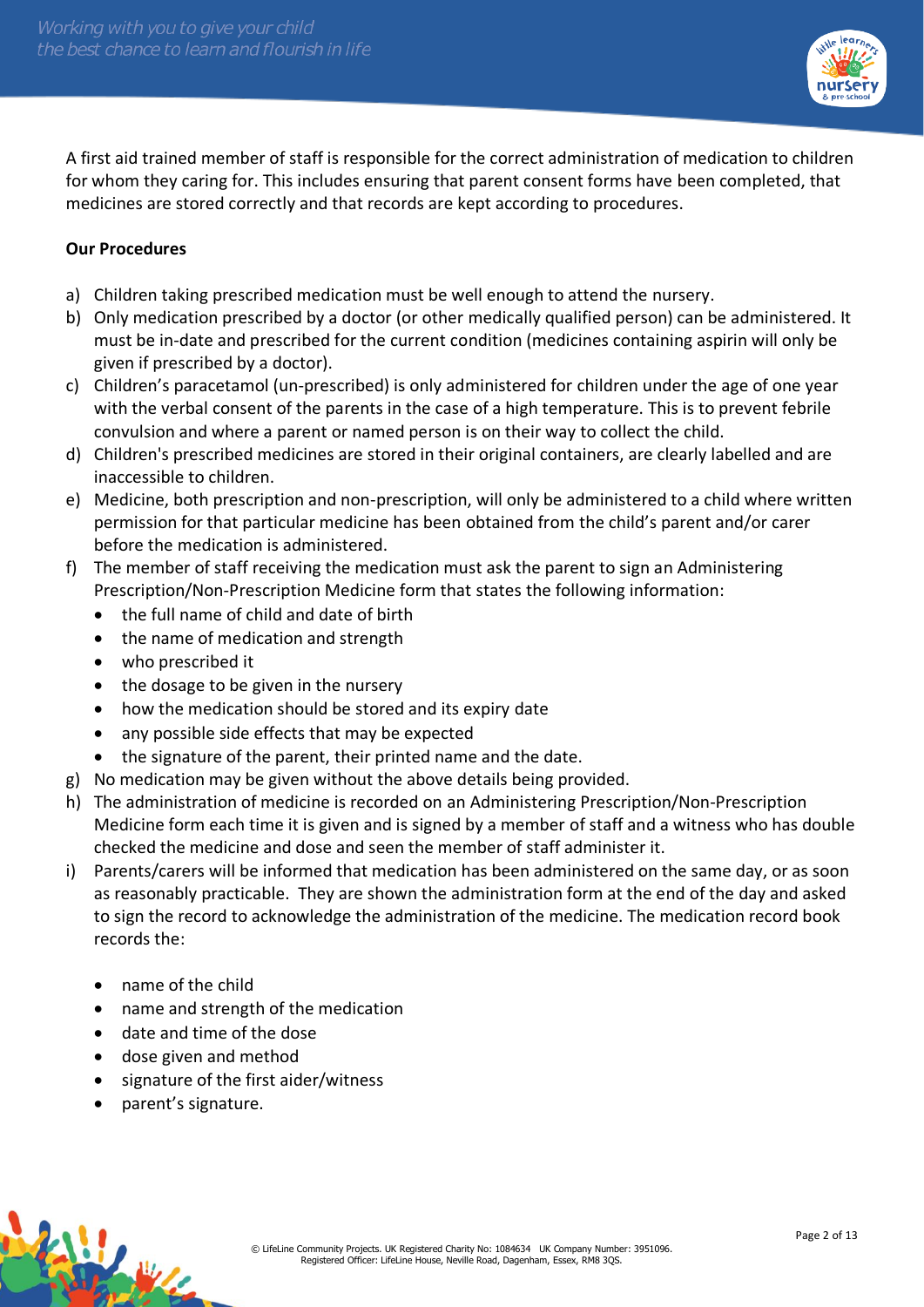

A first aid trained member of staff is responsible for the correct administration of medication to children for whom they caring for. This includes ensuring that parent consent forms have been completed, that medicines are stored correctly and that records are kept according to procedures.

#### **Our Procedures**

- a) Children taking prescribed medication must be well enough to attend the nursery.
- b) Only medication prescribed by a doctor (or other medically qualified person) can be administered. It must be in-date and prescribed for the current condition (medicines containing aspirin will only be given if prescribed by a doctor).
- c) Children's paracetamol (un-prescribed) is only administered for children under the age of one year with the verbal consent of the parents in the case of a high temperature. This is to prevent febrile convulsion and where a parent or named person is on their way to collect the child.
- d) Children's prescribed medicines are stored in their original containers, are clearly labelled and are inaccessible to children.
- e) Medicine, both prescription and non-prescription, will only be administered to a child where written permission for that particular medicine has been obtained from the child's parent and/or carer before the medication is administered.
- f) The member of staff receiving the medication must ask the parent to sign an Administering Prescription/Non-Prescription Medicine form that states the following information:
	- the full name of child and date of birth
	- the name of medication and strength
	- who prescribed it
	- the dosage to be given in the nursery
	- how the medication should be stored and its expiry date
	- any possible side effects that may be expected
	- the signature of the parent, their printed name and the date.
- g) No medication may be given without the above details being provided.
- h) The administration of medicine is recorded on an Administering Prescription/Non-Prescription Medicine form each time it is given and is signed by a member of staff and a witness who has double checked the medicine and dose and seen the member of staff administer it.
- i) Parents/carers will be informed that medication has been administered on the same day, or as soon as reasonably practicable. They are shown the administration form at the end of the day and asked to sign the record to acknowledge the administration of the medicine. The medication record book records the:
	- name of the child
	- name and strength of the medication
	- date and time of the dose
	- dose given and method
	- signature of the first aider/witness
	- parent's signature.

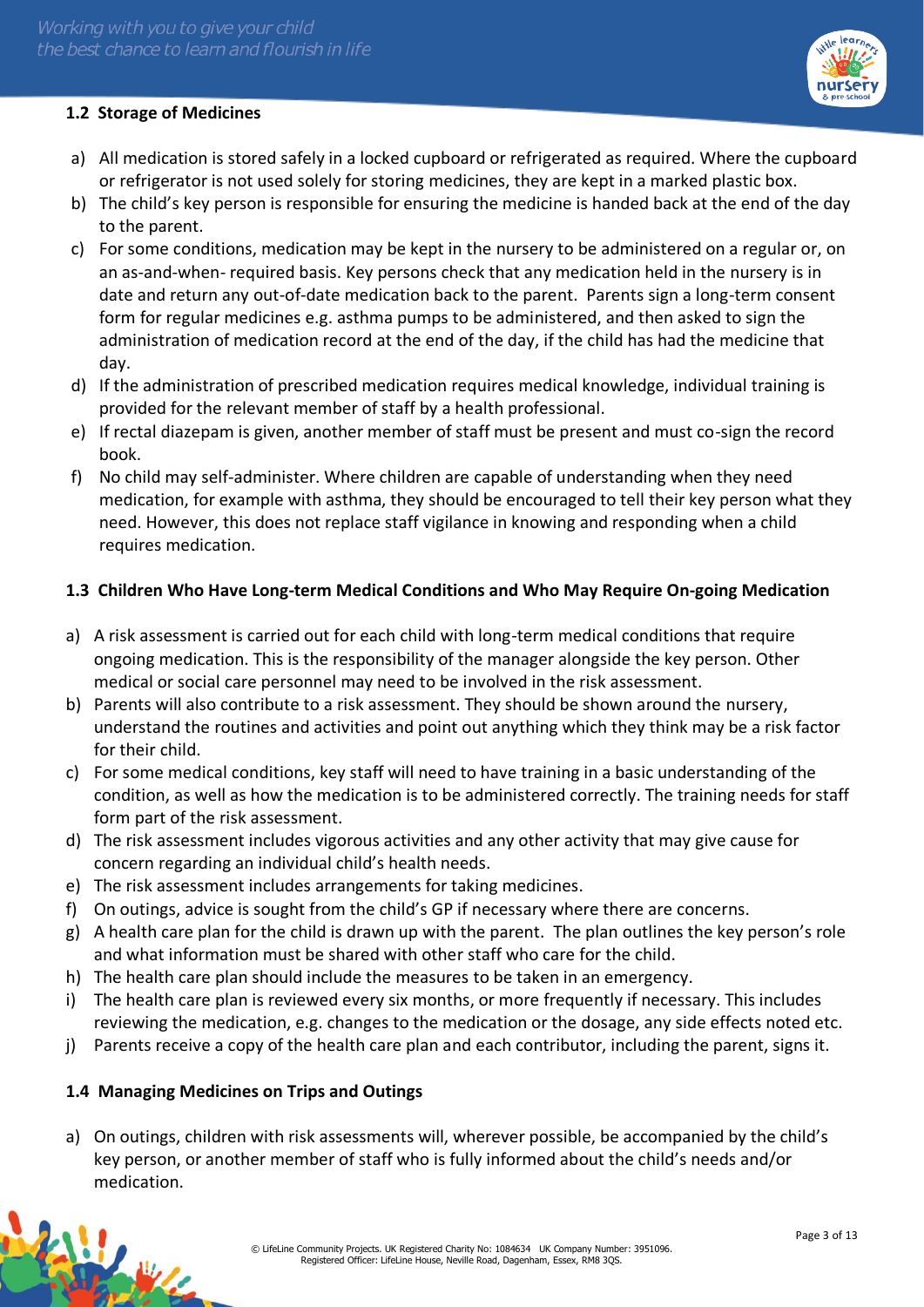

#### **1.2 Storage of Medicines**

- a) All medication is stored safely in a locked cupboard or refrigerated as required. Where the cupboard or refrigerator is not used solely for storing medicines, they are kept in a marked plastic box.
- b) The child's key person is responsible for ensuring the medicine is handed back at the end of the day to the parent.
- c) For some conditions, medication may be kept in the nursery to be administered on a regular or, on an as-and-when- required basis. Key persons check that any medication held in the nursery is in date and return any out-of-date medication back to the parent. Parents sign a long-term consent form for regular medicines e.g. asthma pumps to be administered, and then asked to sign the administration of medication record at the end of the day, if the child has had the medicine that day.
- d) If the administration of prescribed medication requires medical knowledge, individual training is provided for the relevant member of staff by a health professional.
- e) If rectal diazepam is given, another member of staff must be present and must co-sign the record book.
- f) No child may self-administer. Where children are capable of understanding when they need medication, for example with asthma, they should be encouraged to tell their key person what they need. However, this does not replace staff vigilance in knowing and responding when a child requires medication.

## **1.3 Children Who Have Long-term Medical Conditions and Who May Require On-going Medication**

- a) A risk assessment is carried out for each child with long-term medical conditions that require ongoing medication. This is the responsibility of the manager alongside the key person. Other medical or social care personnel may need to be involved in the risk assessment.
- b) Parents will also contribute to a risk assessment. They should be shown around the nursery, understand the routines and activities and point out anything which they think may be a risk factor for their child.
- c) For some medical conditions, key staff will need to have training in a basic understanding of the condition, as well as how the medication is to be administered correctly. The training needs for staff form part of the risk assessment.
- d) The risk assessment includes vigorous activities and any other activity that may give cause for concern regarding an individual child's health needs.
- e) The risk assessment includes arrangements for taking medicines.
- f) On outings, advice is sought from the child's GP if necessary where there are concerns.
- g) A health care plan for the child is drawn up with the parent. The plan outlines the key person's role and what information must be shared with other staff who care for the child.
- h) The health care plan should include the measures to be taken in an emergency.
- i) The health care plan is reviewed every six months, or more frequently if necessary. This includes reviewing the medication, e.g. changes to the medication or the dosage, any side effects noted etc.
- j) Parents receive a copy of the health care plan and each contributor, including the parent, signs it.

## **1.4 Managing Medicines on Trips and Outings**

a) On outings, children with risk assessments will, wherever possible, be accompanied by the child's key person, or another member of staff who is fully informed about the child's needs and/or medication.

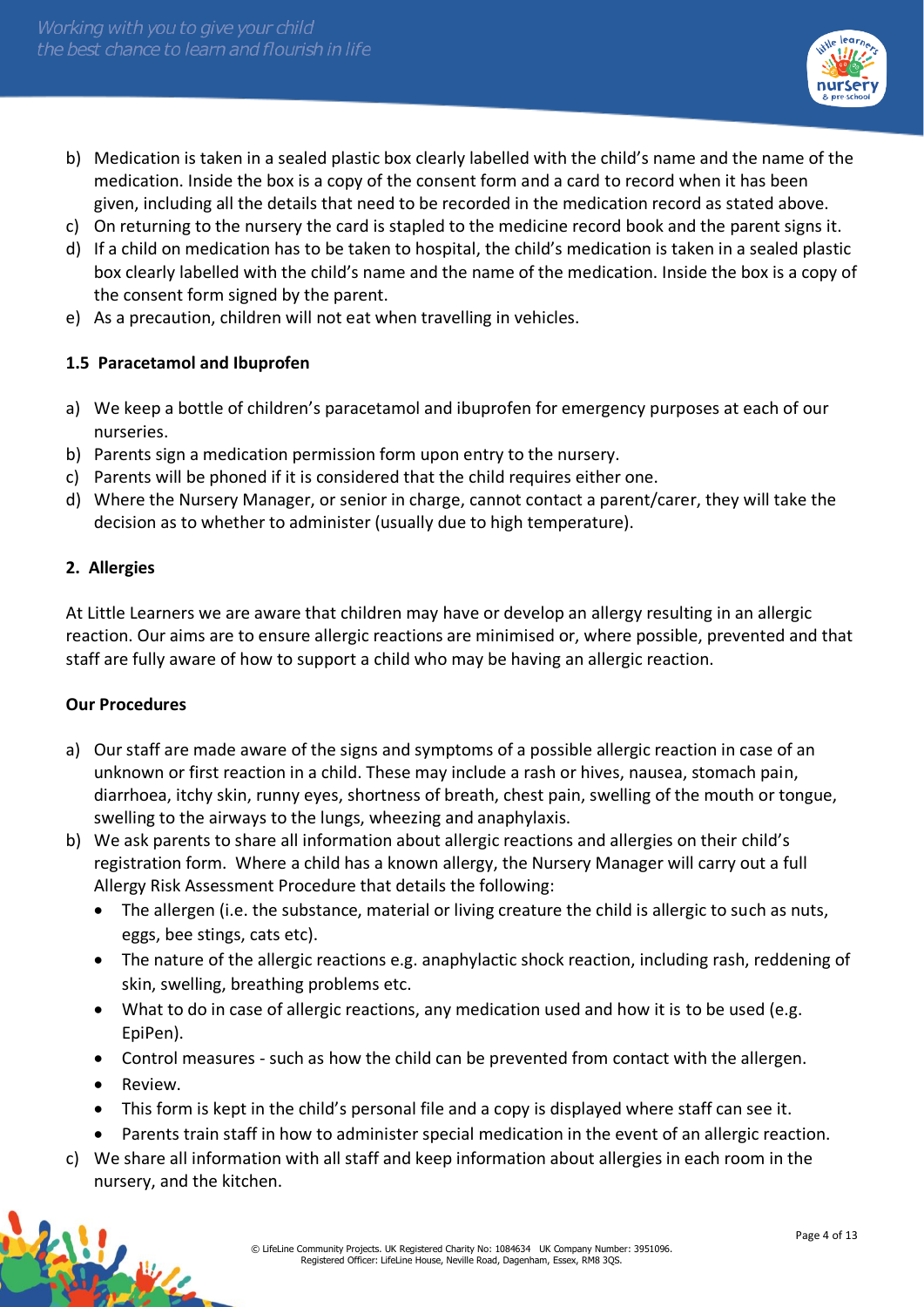

- b) Medication is taken in a sealed plastic box clearly labelled with the child's name and the name of the medication. Inside the box is a copy of the consent form and a card to record when it has been given, including all the details that need to be recorded in the medication record as stated above.
- c) On returning to the nursery the card is stapled to the medicine record book and the parent signs it.
- d) If a child on medication has to be taken to hospital, the child's medication is taken in a sealed plastic box clearly labelled with the child's name and the name of the medication. Inside the box is a copy of the consent form signed by the parent.
- e) As a precaution, children will not eat when travelling in vehicles.

#### **1.5 Paracetamol and Ibuprofen**

- a) We keep a bottle of children's paracetamol and ibuprofen for emergency purposes at each of our nurseries.
- b) Parents sign a medication permission form upon entry to the nursery.
- c) Parents will be phoned if it is considered that the child requires either one.
- d) Where the Nursery Manager, or senior in charge, cannot contact a parent/carer, they will take the decision as to whether to administer (usually due to high temperature).

#### **2. Allergies**

At Little Learners we are aware that children may have or develop an allergy resulting in an allergic reaction. Our aims are to ensure allergic reactions are minimised or, where possible, prevented and that staff are fully aware of how to support a child who may be having an allergic reaction.

#### **Our Procedures**

- a) Our staff are made aware of the signs and symptoms of a possible allergic reaction in case of an unknown or first reaction in a child. These may include a rash or hives, nausea, stomach pain, diarrhoea, itchy skin, runny eyes, shortness of breath, chest pain, swelling of the mouth or tongue, swelling to the airways to the lungs, wheezing and anaphylaxis.
- b) We ask parents to share all information about allergic reactions and allergies on their child's registration form. Where a child has a known allergy, the Nursery Manager will carry out a full Allergy Risk Assessment Procedure that details the following:
	- The allergen (i.e. the substance, material or living creature the child is allergic to such as nuts, eggs, bee stings, cats etc).
	- The nature of the allergic reactions e.g. anaphylactic shock reaction, including rash, reddening of skin, swelling, breathing problems etc.
	- What to do in case of allergic reactions, any medication used and how it is to be used (e.g. EpiPen).
	- Control measures such as how the child can be prevented from contact with the allergen.
	- Review.

- This form is kept in the child's personal file and a copy is displayed where staff can see it.
- Parents train staff in how to administer special medication in the event of an allergic reaction.
- c) We share all information with all staff and keep information about allergies in each room in the nursery, and the kitchen.

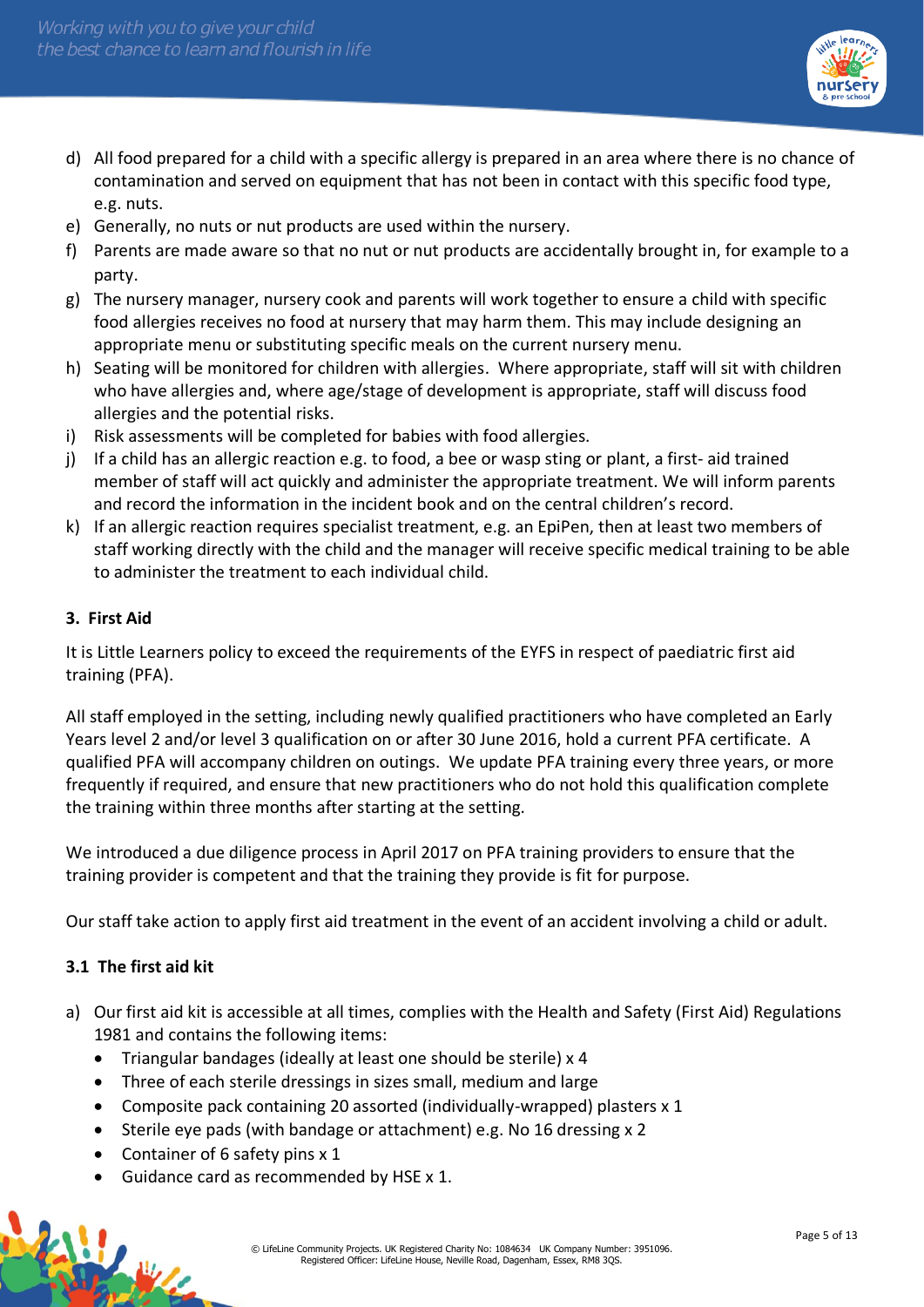

- d) All food prepared for a child with a specific allergy is prepared in an area where there is no chance of contamination and served on equipment that has not been in contact with this specific food type, e.g. nuts.
- e) Generally, no nuts or nut products are used within the nursery.
- f) Parents are made aware so that no nut or nut products are accidentally brought in, for example to a party.
- g) The nursery manager, nursery cook and parents will work together to ensure a child with specific food allergies receives no food at nursery that may harm them. This may include designing an appropriate menu or substituting specific meals on the current nursery menu.
- h) Seating will be monitored for children with allergies. Where appropriate, staff will sit with children who have allergies and, where age/stage of development is appropriate, staff will discuss food allergies and the potential risks.
- i) Risk assessments will be completed for babies with food allergies.
- j) If a child has an allergic reaction e.g. to food, a bee or wasp sting or plant, a first- aid trained member of staff will act quickly and administer the appropriate treatment. We will inform parents and record the information in the incident book and on the central children's record.
- k) If an allergic reaction requires specialist treatment, e.g. an EpiPen, then at least two members of staff working directly with the child and the manager will receive specific medical training to be able to administer the treatment to each individual child.

## **3. First Aid**

It is Little Learners policy to exceed the requirements of the EYFS in respect of paediatric first aid training (PFA).

All staff employed in the setting, including newly qualified practitioners who have completed an Early Years level 2 and/or level 3 qualification on or after 30 June 2016, hold a current PFA certificate. A qualified PFA will accompany children on outings. We update PFA training every three years, or more frequently if required, and ensure that new practitioners who do not hold this qualification complete the training within three months after starting at the setting.

We introduced a due diligence process in April 2017 on PFA training providers to ensure that the training provider is competent and that the training they provide is fit for purpose.

Our staff take action to apply first aid treatment in the event of an accident involving a child or adult.

## **3.1 The first aid kit**

- a) Our first aid kit is accessible at all times, complies with the Health and Safety (First Aid) Regulations 1981 and contains the following items:
	- Triangular bandages (ideally at least one should be sterile) x 4
	- Three of each sterile dressings in sizes small, medium and large
	- Composite pack containing 20 assorted (individually-wrapped) plasters x 1
	- Sterile eye pads (with bandage or attachment) e.g. No 16 dressing x 2
	- Container of 6 safety pins x 1
	- Guidance card as recommended by HSE x 1.

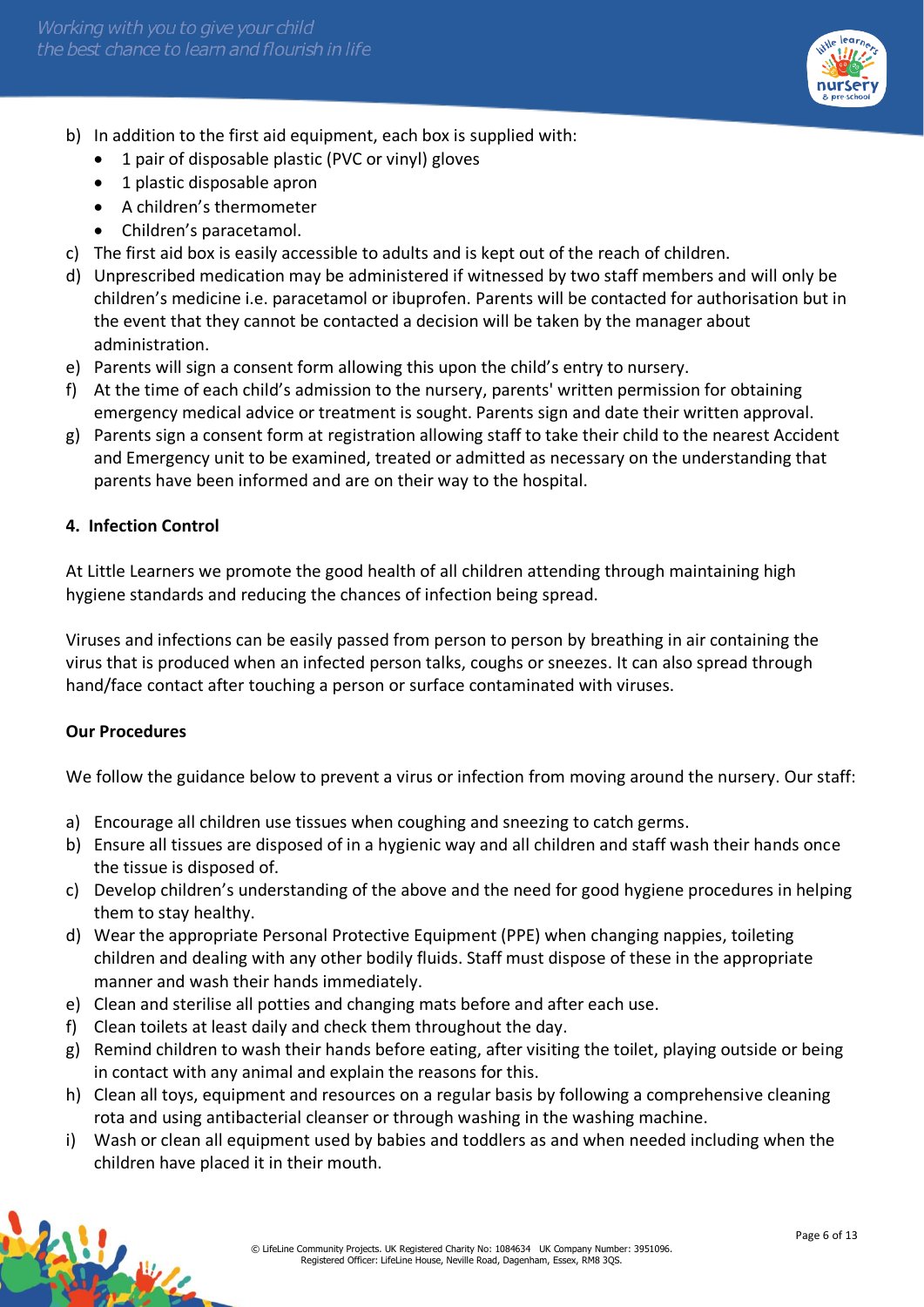

- b) In addition to the first aid equipment, each box is supplied with:
	- 1 pair of disposable plastic (PVC or vinyl) gloves
	- 1 plastic disposable apron
	- A children's thermometer
	- Children's paracetamol.
- c) The first aid box is easily accessible to adults and is kept out of the reach of children.
- d) Unprescribed medication may be administered if witnessed by two staff members and will only be children's medicine i.e. paracetamol or ibuprofen. Parents will be contacted for authorisation but in the event that they cannot be contacted a decision will be taken by the manager about administration.
- e) Parents will sign a consent form allowing this upon the child's entry to nursery.
- f) At the time of each child's admission to the nursery, parents' written permission for obtaining emergency medical advice or treatment is sought. Parents sign and date their written approval.
- g) Parents sign a consent form at registration allowing staff to take their child to the nearest Accident and Emergency unit to be examined, treated or admitted as necessary on the understanding that parents have been informed and are on their way to the hospital.

## **4. Infection Control**

At Little Learners we promote the good health of all children attending through maintaining high hygiene standards and reducing the chances of infection being spread.

Viruses and infections can be easily passed from person to person by breathing in air containing the virus that is produced when an infected person talks, coughs or sneezes. It can also spread through hand/face contact after touching a person or surface contaminated with viruses.

## **Our Procedures**

NH 1

We follow the guidance below to prevent a virus or infection from moving around the nursery. Our staff:

- a) Encourage all children use tissues when coughing and sneezing to catch germs.
- b) Ensure all tissues are disposed of in a hygienic way and all children and staff wash their hands once the tissue is disposed of.
- c) Develop children's understanding of the above and the need for good hygiene procedures in helping them to stay healthy.
- d) Wear the appropriate Personal Protective Equipment (PPE) when changing nappies, toileting children and dealing with any other bodily fluids. Staff must dispose of these in the appropriate manner and wash their hands immediately.
- e) Clean and sterilise all potties and changing mats before and after each use.
- f) Clean toilets at least daily and check them throughout the day.
- g) Remind children to wash their hands before eating, after visiting the toilet, playing outside or being in contact with any animal and explain the reasons for this.
- h) Clean all toys, equipment and resources on a regular basis by following a comprehensive cleaning rota and using antibacterial cleanser or through washing in the washing machine.
- i) Wash or clean all equipment used by babies and toddlers as and when needed including when the children have placed it in their mouth.

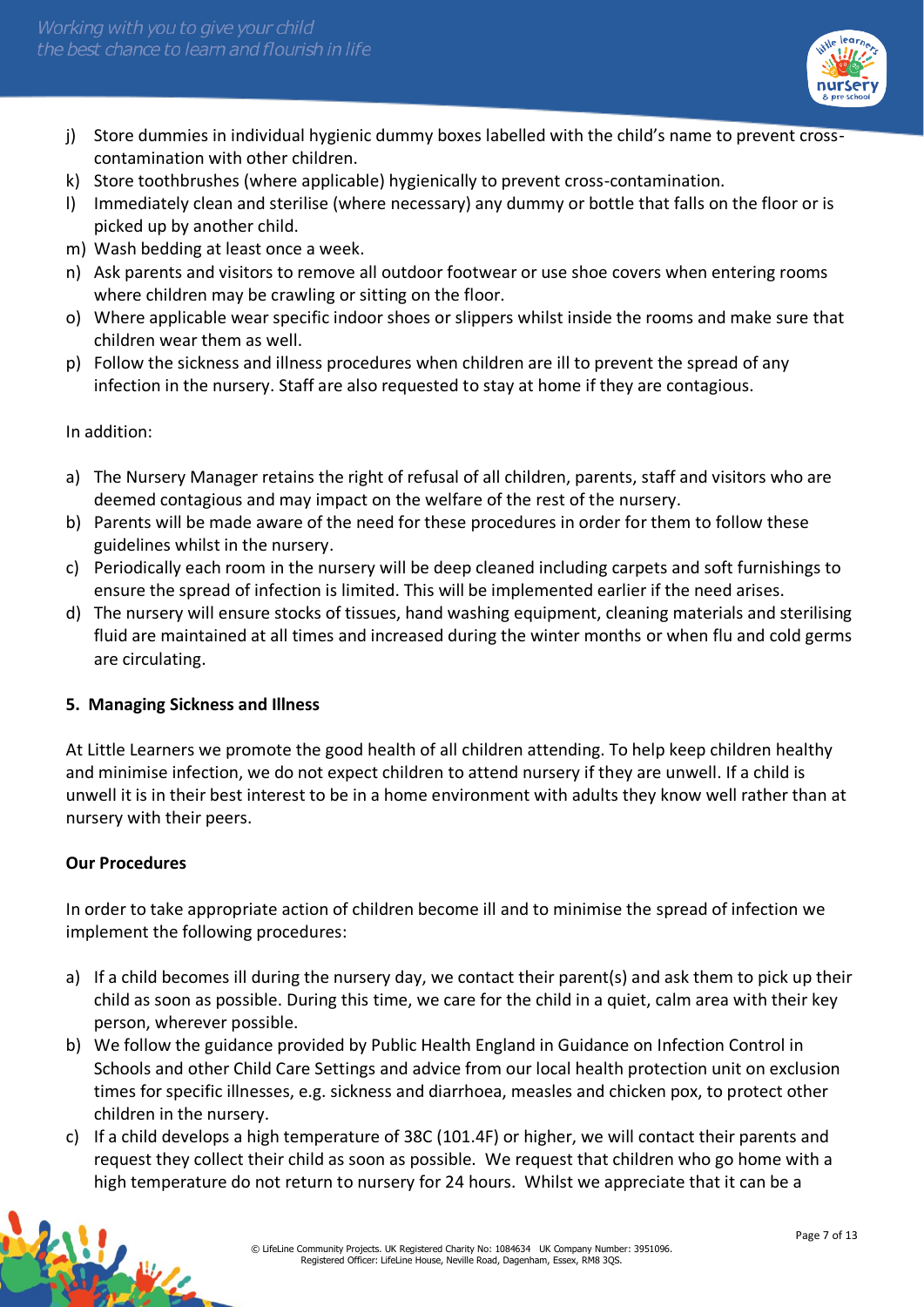

- j) Store dummies in individual hygienic dummy boxes labelled with the child's name to prevent crosscontamination with other children.
- k) Store toothbrushes (where applicable) hygienically to prevent cross-contamination.
- l) Immediately clean and sterilise (where necessary) any dummy or bottle that falls on the floor or is picked up by another child.
- m) Wash bedding at least once a week.
- n) Ask parents and visitors to remove all outdoor footwear or use shoe covers when entering rooms where children may be crawling or sitting on the floor.
- o) Where applicable wear specific indoor shoes or slippers whilst inside the rooms and make sure that children wear them as well.
- p) Follow the sickness and illness procedures when children are ill to prevent the spread of any infection in the nursery. Staff are also requested to stay at home if they are contagious.

In addition:

- a) The Nursery Manager retains the right of refusal of all children, parents, staff and visitors who are deemed contagious and may impact on the welfare of the rest of the nursery.
- b) Parents will be made aware of the need for these procedures in order for them to follow these guidelines whilst in the nursery.
- c) Periodically each room in the nursery will be deep cleaned including carpets and soft furnishings to ensure the spread of infection is limited. This will be implemented earlier if the need arises.
- d) The nursery will ensure stocks of tissues, hand washing equipment, cleaning materials and sterilising fluid are maintained at all times and increased during the winter months or when flu and cold germs are circulating.

## **5. Managing Sickness and Illness**

At Little Learners we promote the good health of all children attending. To help keep children healthy and minimise infection, we do not expect children to attend nursery if they are unwell. If a child is unwell it is in their best interest to be in a home environment with adults they know well rather than at nursery with their peers.

## **Our Procedures**

In order to take appropriate action of children become ill and to minimise the spread of infection we implement the following procedures:

- a) If a child becomes ill during the nursery day, we contact their parent(s) and ask them to pick up their child as soon as possible. During this time, we care for the child in a quiet, calm area with their key person, wherever possible.
- b) We follow the guidance provided by Public Health England in Guidance on Infection Control in Schools and other Child Care Settings and advice from our local health protection unit on exclusion times for specific illnesses, e.g. sickness and diarrhoea, measles and chicken pox, to protect other children in the nursery.
- c) If a child develops a high temperature of 38C (101.4F) or higher, we will contact their parents and request they collect their child as soon as possible. We request that children who go home with a high temperature do not return to nursery for 24 hours. Whilst we appreciate that it can be a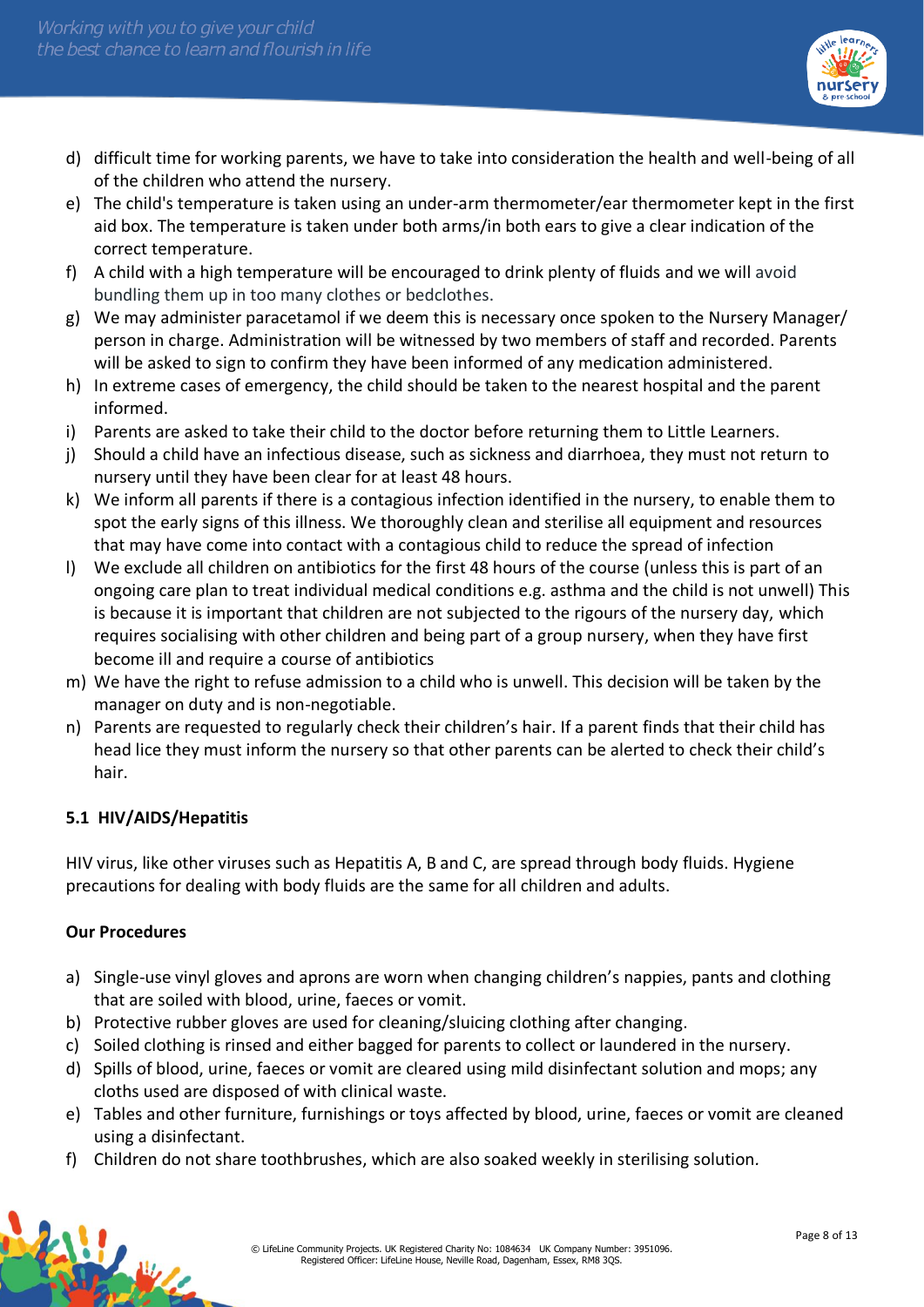

- d) difficult time for working parents, we have to take into consideration the health and well-being of all of the children who attend the nursery.
- e) The child's temperature is taken using an under-arm thermometer/ear thermometer kept in the first aid box. The temperature is taken under both arms/in both ears to give a clear indication of the correct temperature.
- f) A child with a high temperature will be encouraged to drink plenty of fluids and we will avoid bundling them up in too many clothes or bedclothes.
- g) We may administer paracetamol if we deem this is necessary once spoken to the Nursery Manager/ person in charge. Administration will be witnessed by two members of staff and recorded. Parents will be asked to sign to confirm they have been informed of any medication administered.
- h) In extreme cases of emergency, the child should be taken to the nearest hospital and the parent informed.
- i) Parents are asked to take their child to the doctor before returning them to Little Learners.
- j) Should a child have an infectious disease, such as sickness and diarrhoea, they must not return to nursery until they have been clear for at least 48 hours.
- k) We inform all parents if there is a contagious infection identified in the nursery, to enable them to spot the early signs of this illness. We thoroughly clean and sterilise all equipment and resources that may have come into contact with a contagious child to reduce the spread of infection
- l) We exclude all children on antibiotics for the first 48 hours of the course (unless this is part of an ongoing care plan to treat individual medical conditions e.g. asthma and the child is not unwell) This is because it is important that children are not subjected to the rigours of the nursery day, which requires socialising with other children and being part of a group nursery, when they have first become ill and require a course of antibiotics
- m) We have the right to refuse admission to a child who is unwell. This decision will be taken by the manager on duty and is non-negotiable.
- n) Parents are requested to regularly check their children's hair. If a parent finds that their child has head lice they must inform the nursery so that other parents can be alerted to check their child's hair.

# **5.1 HIV/AIDS/Hepatitis**

HIV virus, like other viruses such as Hepatitis A, B and C, are spread through body fluids. Hygiene precautions for dealing with body fluids are the same for all children and adults.

## **Our Procedures**

- a) Single-use vinyl gloves and aprons are worn when changing children's nappies, pants and clothing that are soiled with blood, urine, faeces or vomit.
- b) Protective rubber gloves are used for cleaning/sluicing clothing after changing.
- c) Soiled clothing is rinsed and either bagged for parents to collect or laundered in the nursery.
- d) Spills of blood, urine, faeces or vomit are cleared using mild disinfectant solution and mops; any cloths used are disposed of with clinical waste.
- e) Tables and other furniture, furnishings or toys affected by blood, urine, faeces or vomit are cleaned using a disinfectant.
- f) Children do not share toothbrushes, which are also soaked weekly in sterilising solution*.*

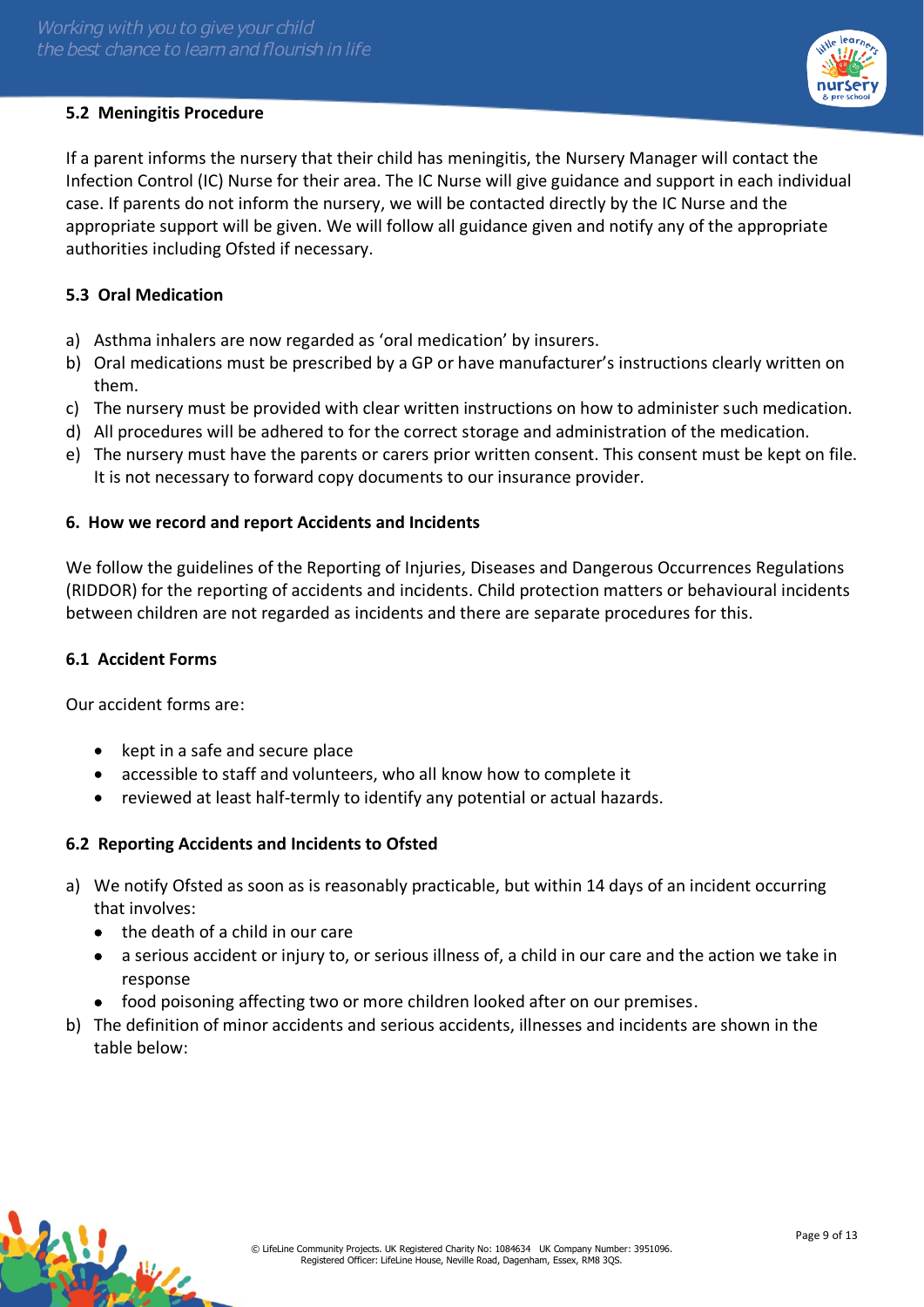## **5.2 Meningitis Procedure**



If a parent informs the nursery that their child has meningitis, the Nursery Manager will contact the Infection Control (IC) Nurse for their area. The IC Nurse will give guidance and support in each individual case. If parents do not inform the nursery, we will be contacted directly by the IC Nurse and the appropriate support will be given. We will follow all guidance given and notify any of the appropriate authorities including Ofsted if necessary.

#### **5.3 Oral Medication**

- a) Asthma inhalers are now regarded as 'oral medication' by insurers.
- b) Oral medications must be prescribed by a GP or have manufacturer's instructions clearly written on them.
- c) The nursery must be provided with clear written instructions on how to administer such medication.
- d) All procedures will be adhered to for the correct storage and administration of the medication.
- e) The nursery must have the parents or carers prior written consent. This consent must be kept on file. It is not necessary to forward copy documents to our insurance provider.

#### **6. How we record and report Accidents and Incidents**

We follow the guidelines of the Reporting of Injuries, Diseases and Dangerous Occurrences Regulations (RIDDOR) for the reporting of accidents and incidents. Child protection matters or behavioural incidents between children are not regarded as incidents and there are separate procedures for this.

#### **6.1 Accident Forms**

Our accident forms are:

- kept in a safe and secure place
- accessible to staff and volunteers, who all know how to complete it
- reviewed at least half-termly to identify any potential or actual hazards.

## **6.2 Reporting Accidents and Incidents to Ofsted**

- a) We notify Ofsted as soon as is reasonably practicable, but within 14 days of an incident occurring that involves:
	- the death of a child in our care
	- a serious accident or injury to, or serious illness of, a child in our care and the action we take in response
	- food poisoning affecting two or more children looked after on our premises.
- b) The definition of minor accidents and serious accidents, illnesses and incidents are shown in the table below: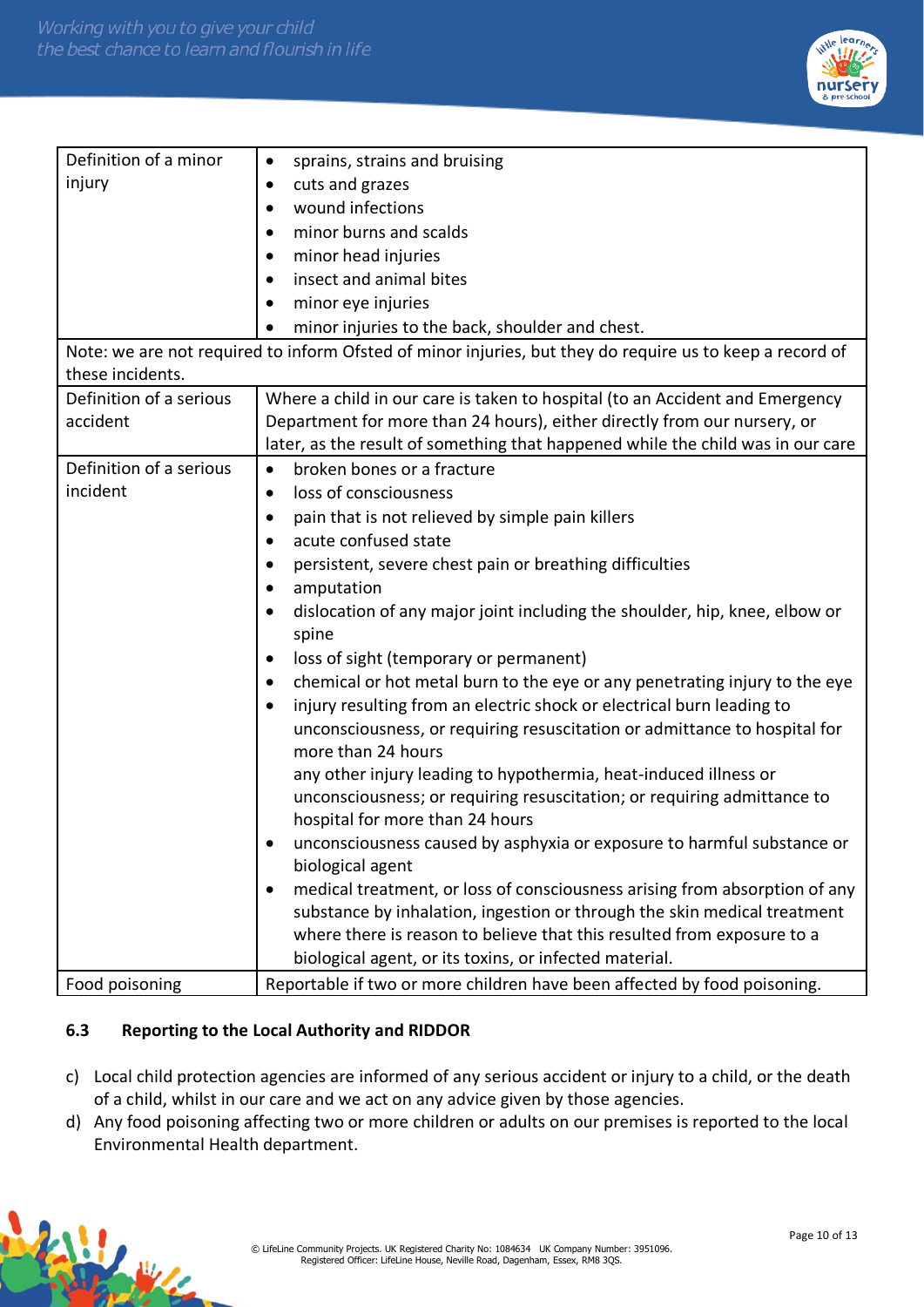

| Definition of a minor   | sprains, strains and bruising<br>$\bullet$                                                               |  |
|-------------------------|----------------------------------------------------------------------------------------------------------|--|
| injury                  | cuts and grazes<br>$\bullet$                                                                             |  |
|                         | wound infections<br>٠                                                                                    |  |
|                         | minor burns and scalds<br>$\bullet$                                                                      |  |
|                         | minor head injuries<br>٠                                                                                 |  |
|                         | insect and animal bites<br>$\bullet$                                                                     |  |
|                         | minor eye injuries<br>$\bullet$                                                                          |  |
|                         | minor injuries to the back, shoulder and chest.                                                          |  |
|                         | Note: we are not required to inform Ofsted of minor injuries, but they do require us to keep a record of |  |
| these incidents.        |                                                                                                          |  |
| Definition of a serious | Where a child in our care is taken to hospital (to an Accident and Emergency                             |  |
| accident                | Department for more than 24 hours), either directly from our nursery, or                                 |  |
|                         | later, as the result of something that happened while the child was in our care                          |  |
| Definition of a serious | broken bones or a fracture<br>$\bullet$                                                                  |  |
| incident                | loss of consciousness<br>$\bullet$                                                                       |  |
|                         | pain that is not relieved by simple pain killers<br>$\bullet$                                            |  |
|                         | acute confused state                                                                                     |  |
|                         | persistent, severe chest pain or breathing difficulties<br>$\bullet$                                     |  |
|                         | amputation<br>$\bullet$                                                                                  |  |
|                         | dislocation of any major joint including the shoulder, hip, knee, elbow or<br>$\bullet$<br>spine         |  |
|                         | loss of sight (temporary or permanent)<br>$\bullet$                                                      |  |
|                         | chemical or hot metal burn to the eye or any penetrating injury to the eye<br>٠                          |  |
|                         | injury resulting from an electric shock or electrical burn leading to                                    |  |
|                         | unconsciousness, or requiring resuscitation or admittance to hospital for<br>more than 24 hours          |  |
|                         | any other injury leading to hypothermia, heat-induced illness or                                         |  |
|                         | unconsciousness; or requiring resuscitation; or requiring admittance to                                  |  |
|                         | hospital for more than 24 hours                                                                          |  |
|                         | unconsciousness caused by asphyxia or exposure to harmful substance or                                   |  |
|                         | biological agent                                                                                         |  |
|                         | medical treatment, or loss of consciousness arising from absorption of any<br>$\bullet$                  |  |
|                         | substance by inhalation, ingestion or through the skin medical treatment                                 |  |
|                         | where there is reason to believe that this resulted from exposure to a                                   |  |
|                         | biological agent, or its toxins, or infected material.                                                   |  |
| Food poisoning          | Reportable if two or more children have been affected by food poisoning.                                 |  |
|                         |                                                                                                          |  |

# **6.3 Reporting to the Local Authority and RIDDOR**

- c) Local child protection agencies are informed of any serious accident or injury to a child, or the death of a child, whilst in our care and we act on any advice given by those agencies.
- d) Any food poisoning affecting two or more children or adults on our premises is reported to the local Environmental Health department.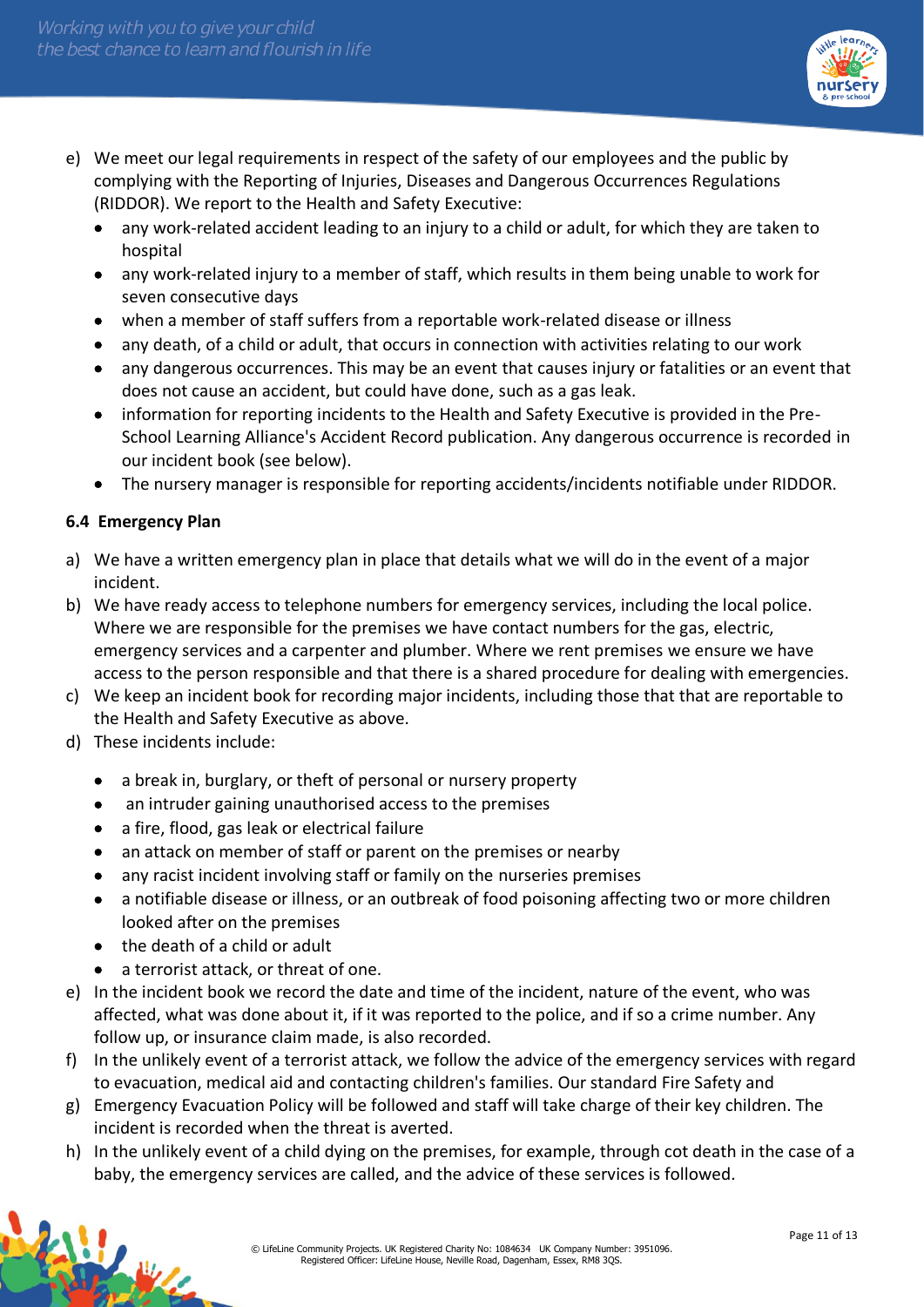

- e) We meet our legal requirements in respect of the safety of our employees and the public by complying with the Reporting of Injuries, Diseases and Dangerous Occurrences Regulations (RIDDOR). We report to the Health and Safety Executive:
	- any work-related accident leading to an injury to a child or adult, for which they are taken to hospital
	- any work-related injury to a member of staff, which results in them being unable to work for seven consecutive days
	- when a member of staff suffers from a reportable work-related disease or illness
	- any death, of a child or adult, that occurs in connection with activities relating to our work
	- any dangerous occurrences. This may be an event that causes injury or fatalities or an event that does not cause an accident, but could have done, such as a gas leak.
	- information for reporting incidents to the Health and Safety Executive is provided in the Pre-School Learning Alliance's Accident Record publication. Any dangerous occurrence is recorded in our incident book (see below).
	- The nursery manager is responsible for reporting accidents/incidents notifiable under RIDDOR.

## **6.4 Emergency Plan**

- a) We have a written emergency plan in place that details what we will do in the event of a major incident.
- b) We have ready access to telephone numbers for emergency services, including the local police. Where we are responsible for the premises we have contact numbers for the gas, electric, emergency services and a carpenter and plumber. Where we rent premises we ensure we have access to the person responsible and that there is a shared procedure for dealing with emergencies.
- c) We keep an incident book for recording major incidents, including those that that are reportable to the Health and Safety Executive as above.
- d) These incidents include:
	- a break in, burglary, or theft of personal or nursery property
	- an intruder gaining unauthorised access to the premises
	- a fire, flood, gas leak or electrical failure
	- an attack on member of staff or parent on the premises or nearby
	- any racist incident involving staff or family on the nurseries premises
	- a notifiable disease or illness, or an outbreak of food poisoning affecting two or more children looked after on the premises
	- the death of a child or adult
	- a terrorist attack, or threat of one.
- e) In the incident book we record the date and time of the incident, nature of the event, who was affected, what was done about it, if it was reported to the police, and if so a crime number. Any follow up, or insurance claim made, is also recorded.
- f) In the unlikely event of a terrorist attack, we follow the advice of the emergency services with regard to evacuation, medical aid and contacting children's families. Our standard Fire Safety and
- g) Emergency Evacuation Policy will be followed and staff will take charge of their key children. The incident is recorded when the threat is averted.
- h) In the unlikely event of a child dying on the premises, for example, through cot death in the case of a baby, the emergency services are called, and the advice of these services is followed.

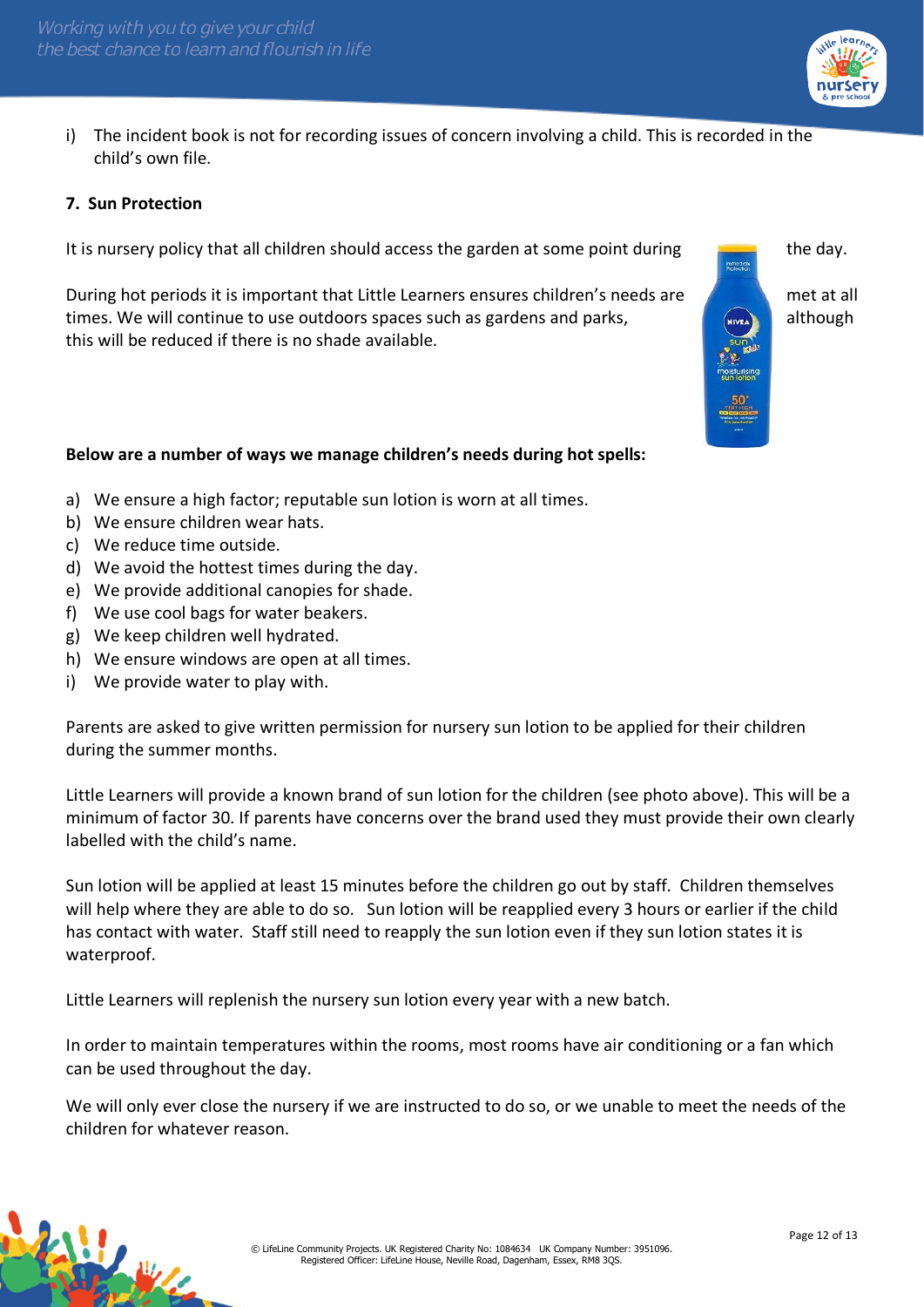

i) The incident book is not for recording issues of concern involving a child. This is recorded in the child's own file.

#### **7. Sun Protection**

It is nursery policy that all children should access the garden at some point during  $\Box$  the day.

During hot periods it is important that Little Learners ensures children's needs are met at all times. We will continue to use outdoors spaces such as gardens and parks, **all though** although this will be reduced if there is no shade available.

#### **Below are a number of ways we manage children's needs during hot spells:**

- a) We ensure a high factor; reputable sun lotion is worn at all times.
- b) We ensure children wear hats.
- c) We reduce time outside.
- d) We avoid the hottest times during the day.
- e) We provide additional canopies for shade.
- f) We use cool bags for water beakers.
- g) We keep children well hydrated.
- h) We ensure windows are open at all times.
- i) We provide water to play with.

Parents are asked to give written permission for nursery sun lotion to be applied for their children during the summer months.

Little Learners will provide a known brand of sun lotion for the children (see photo above). This will be a minimum of factor 30. If parents have concerns over the brand used they must provide their own clearly labelled with the child's name.

Sun lotion will be applied at least 15 minutes before the children go out by staff. Children themselves will help where they are able to do so. Sun lotion will be reapplied every 3 hours or earlier if the child has contact with water. Staff still need to reapply the sun lotion even if they sun lotion states it is waterproof.

Little Learners will replenish the nursery sun lotion every year with a new batch.

In order to maintain temperatures within the rooms, most rooms have air conditioning or a fan which can be used throughout the day.

We will only ever close the nursery if we are instructed to do so, or we unable to meet the needs of the children for whatever reason.